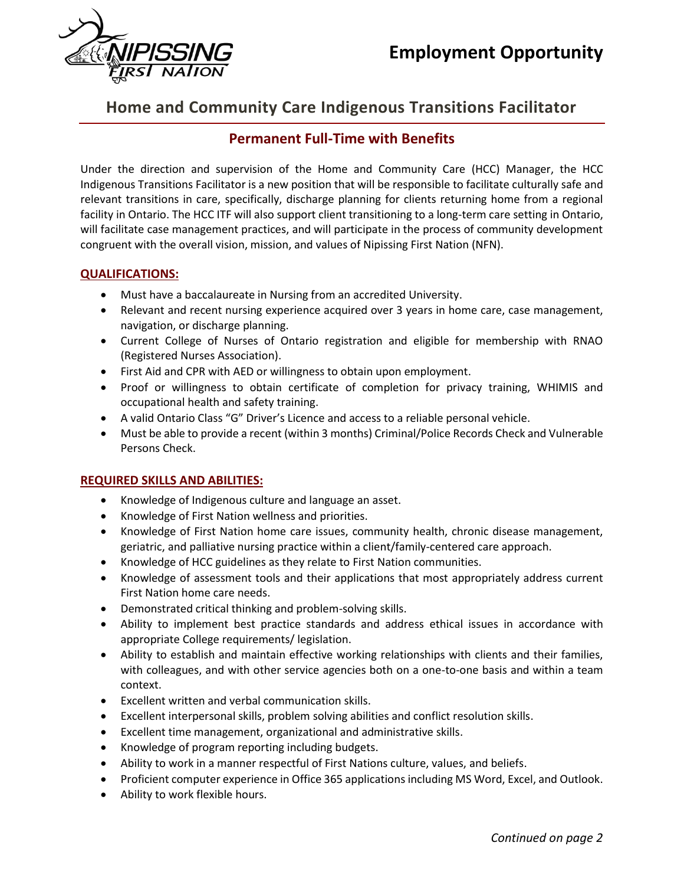

# **Home and Community Care Indigenous Transitions Facilitator**

# **Permanent Full-Time with Benefits**

Under the direction and supervision of the Home and Community Care (HCC) Manager, the HCC Indigenous Transitions Facilitator is a new position that will be responsible to facilitate culturally safe and relevant transitions in care, specifically, discharge planning for clients returning home from a regional facility in Ontario. The HCC ITF will also support client transitioning to a long-term care setting in Ontario, will facilitate case management practices, and will participate in the process of community development congruent with the overall vision, mission, and values of Nipissing First Nation (NFN).

# **QUALIFICATIONS:**

- Must have a baccalaureate in Nursing from an accredited University.
- Relevant and recent nursing experience acquired over 3 years in home care, case management, navigation, or discharge planning.
- Current College of Nurses of Ontario registration and eligible for membership with RNAO (Registered Nurses Association).
- First Aid and CPR with AED or willingness to obtain upon employment.
- Proof or willingness to obtain certificate of completion for privacy training, WHIMIS and occupational health and safety training.
- A valid Ontario Class "G" Driver's Licence and access to a reliable personal vehicle.
- Must be able to provide a recent (within 3 months) Criminal/Police Records Check and Vulnerable Persons Check.

### **REQUIRED SKILLS AND ABILITIES:**

- Knowledge of Indigenous culture and language an asset.
- Knowledge of First Nation wellness and priorities.
- Knowledge of First Nation home care issues, community health, chronic disease management, geriatric, and palliative nursing practice within a client/family-centered care approach.
- Knowledge of HCC guidelines as they relate to First Nation communities.
- Knowledge of assessment tools and their applications that most appropriately address current First Nation home care needs.
- Demonstrated critical thinking and problem-solving skills.
- Ability to implement best practice standards and address ethical issues in accordance with appropriate College requirements/ legislation.
- Ability to establish and maintain effective working relationships with clients and their families, with colleagues, and with other service agencies both on a one-to-one basis and within a team context.
- Excellent written and verbal communication skills.
- Excellent interpersonal skills, problem solving abilities and conflict resolution skills.
- Excellent time management, organizational and administrative skills.
- Knowledge of program reporting including budgets.
- Ability to work in a manner respectful of First Nations culture, values, and beliefs.
- Proficient computer experience in Office 365 applications including MS Word, Excel, and Outlook.
- Ability to work flexible hours.